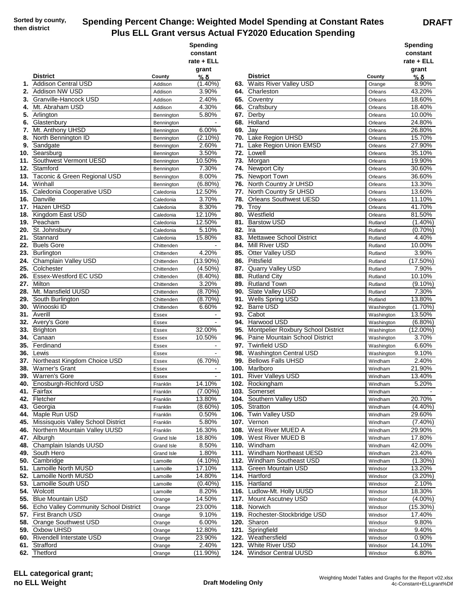## **Spending Percent Change: Weighted Model Spending at Constant Rates Plus ELL Grant versus Actual FY2020 Education Spending**

|     |                                                             |                          | Spending<br>constant<br>rate + ELL |     |                                               |                    | <b>Spending</b><br>constant<br>rate + ELL |
|-----|-------------------------------------------------------------|--------------------------|------------------------------------|-----|-----------------------------------------------|--------------------|-------------------------------------------|
|     |                                                             |                          | grant                              |     |                                               |                    | grant                                     |
| 1.  | <b>District</b><br><b>Addison Central USD</b>               | County<br>Addison        | % δ<br>$(1.40\%)$                  |     | <b>District</b><br>63. Waits River Valley USD | County<br>Orange   | % δ<br>8.90%                              |
|     | 2. Addison NW USD                                           | Addison                  | 3.90%                              |     | 64. Charleston                                | Orleans            | 43.20%                                    |
|     | 3. Granville-Hancock USD                                    | Addison                  | 2.40%                              |     | 65. Coventry                                  | Orleans            | 18.60%                                    |
| 4.  | Mt. Abraham USD                                             | Addison                  | 4.30%                              |     | 66. Craftsbury                                | Orleans            | 18.40%                                    |
|     | 5. Arlington                                                | Bennington               | 5.80%                              |     | 67. Derby                                     | Orleans            | 10.00%                                    |
| 6.  | Glastenbury                                                 | Bennington               | $\sim$                             | 68. | Holland                                       | Orleans            | 24.80%                                    |
| 7.  | Mt. Anthony UHSD                                            | Bennington               | 6.00%                              | 69. | Jay                                           | Orleans            | 26.80%                                    |
| 8.  | North Bennington ID                                         | Bennington               | $(2.10\%)$                         |     | 70. Lake Region UHSD                          | Orleans            | 15.70%                                    |
| 9.  | Sandgate                                                    | Bennington               | 2.60%                              | 71. | Lake Region Union EMSD                        | Orleans            | 27.90%                                    |
|     | 10. Searsburg                                               | Bennington               | 3.50%                              | 72. | Lowell                                        | Orleans            | 35.10%                                    |
|     | 11. Southwest Vermont UESD                                  | Bennington               | 10.50%                             | 73. | Morgan                                        | Orleans            | 19.90%                                    |
|     | 12. Stamford                                                | Bennington               | 7.30%                              |     | 74. Newport City                              | Orleans            | 30.60%                                    |
|     | 13. Taconic & Green Regional USD                            | Bennington               | 8.00%                              |     | 75. Newport Town                              | Orleans            | 36.60%                                    |
| 14. | Winhall                                                     | Bennington               | $(6.80\%)$                         | 76. | North Country Jr UHSD                         | Orleans            | 13.30%                                    |
|     | 15. Caledonia Cooperative USD                               | Caledonia                | 12.50%                             |     | 77. North Country Sr UHSD                     | Orleans            | 13.60%                                    |
|     | 16. Danville                                                | Caledonia                | 3.70%                              | 78. | <b>Orleans Southwest UESD</b>                 | Orleans            | 11.10%                                    |
|     | 17. Hazen UHSD                                              | Caledonia                | 8.30%                              | 79. | Troy                                          | Orleans            | 41.70%                                    |
|     | 18. Kingdom East USD                                        | Caledonia                | 12.10%                             | 80. | Westfield                                     | Orleans            | 81.50%                                    |
|     | 19. Peacham                                                 | Caledonia                | 12.50%                             |     | 81. Barstow USD                               | Rutland            | $(1.40\%)$                                |
|     | 20. St. Johnsbury                                           | Caledonia                | 5.10%                              | 82. | Ira<br>83. Mettawee School District           | Rutland            | $(0.70\%)$<br>4.40%                       |
|     | 21. Stannard<br>22. Buels Gore                              | Caledonia                | 15.80%                             | 84. | <b>Mill River USD</b>                         | Rutland            | 10.00%                                    |
|     | 23. Burlington                                              | Chittenden<br>Chittenden | 4.20%                              | 85. | Otter Valley USD                              | Rutland<br>Rutland | 3.90%                                     |
|     | 24. Champlain Valley USD                                    | Chittenden               | $(13.90\%)$                        |     | 86. Pittsfield                                | Rutland            | (17.50%)                                  |
|     | 25. Colchester                                              | Chittenden               | $(4.50\%)$                         |     | 87. Quarry Valley USD                         | Rutland            | 7.90%                                     |
|     | 26. Essex-Westford EC USD                                   | Chittenden               | $(8.40\%)$                         | 88. | <b>Rutland City</b>                           | Rutland            | 10.10%                                    |
|     | 27. Milton                                                  | Chittenden               | 3.20%                              |     | 89. Rutland Town                              | Rutland            | $(9.10\%)$                                |
|     | 28. Mt. Mansfield UUSD                                      | Chittenden               | (8.70%)                            | 90. | Slate Valley USD                              | Rutland            | 7.30%                                     |
|     | 29. South Burlington                                        | Chittenden               | (8.70%)                            | 91. | <b>Wells Spring USD</b>                       | Rutland            | 13.80%                                    |
|     | 30. Winooski ID                                             | Chittenden               | 6.60%                              |     | 92. Barre USD                                 | Washington         | $(1.70\%)$                                |
|     | 31. Averill                                                 | Essex                    | $\sim$                             | 93. | Cabot                                         | Washington         | 13.50%                                    |
|     | 32. Avery's Gore                                            | Essex                    |                                    | 94. | Harwood USD                                   | Washington         | $(6.80\%)$                                |
|     | 33. Brighton                                                | Essex                    | 32.00%                             |     | 95. Montpelier Roxbury School District        | Washington         | $(12.00\%)$                               |
|     | 34. Canaan                                                  | Essex                    | 10.50%                             | 96. | Paine Mountain School District                | Washington         | 3.70%                                     |
|     | 35. Ferdinand                                               | Essex                    |                                    |     | 97. Twinfield USD                             | Washington         | 6.60%                                     |
|     | <b>36.</b> Lewis                                            | Essex                    |                                    | 98. | Washington Central USD                        | Washington         | 9.10%                                     |
|     | 37. Northeast Kingdom Choice USD                            | Essex                    | $(6.70\%)$                         | 99. | <b>Bellows Falls UHSD</b>                     | Windham            | 2.40%                                     |
|     | 38. Warner's Grant                                          | Essex                    |                                    |     | 100. Marlboro                                 | Windham            | 21.90%                                    |
|     | 39. Warren's Gore                                           | Essex                    |                                    |     | 101. River Valleys USD                        | Windham            | 13.40%                                    |
|     | 40. Enosburgh-Richford USD                                  | Franklin                 | 14.10%                             |     | 102. Rockingham                               | Windham            | 5.20%                                     |
|     | 41. Fairfax                                                 | Franklin                 | $(7.00\%)$                         |     | <b>103.</b> Somerset                          | Windham            |                                           |
|     | 42. Fletcher                                                | Franklin                 | 13.80%                             |     | 104. Southern Valley USD                      | Windham            | 20.70%                                    |
|     | 43. Georgia                                                 | Franklin                 | $(8.60\%)$                         |     | 105. Stratton<br>106. Twin Valley USD         | Windham            | $(4.40\%)$                                |
|     | 44. Maple Run USD<br>45. Missisquois Valley School District | Franklin                 | 0.50%<br>5.80%                     |     | 107. Vernon                                   | Windham            | 29.60%<br>$(7.40\%)$                      |
|     | 46. Northern Mountain Valley UUSD                           | Franklin                 | 16.30%                             |     | 108. West River MUED A                        | Windham            |                                           |
|     | 47. Alburgh                                                 | Franklin<br>Grand Isle   | 18.80%                             |     | 109. West River MUED B                        | Windham<br>Windham | 29.90%<br>17.80%                          |
|     | 48. Champlain Islands UUSD                                  | Grand Isle               | 8.50%                              |     | 110. Windham                                  | Windham            | 42.00%                                    |
|     | 49. South Hero                                              | Grand Isle               | 1.80%                              |     | 111. Windham Northeast UESD                   | Windham            | 23.40%                                    |
|     | 50. Cambridge                                               | Lamoille                 | $(4.10\%)$                         |     | 112. Windham Southeast USD                    | Windham            | $(1.30\%)$                                |
|     | 51. Lamoille North MUSD                                     | Lamoille                 | 17.10%                             |     | 113. Green Mountain USD                       | Windsor            | 13.20%                                    |
|     | 52. Lamoille North MUSD                                     | Lamoille                 | 14.80%                             |     | 114. Hartford                                 | Windsor            | $(3.20\%)$                                |
|     | 53. Lamoille South USD                                      | Lamoille                 | $(0.40\%)$                         |     | 115. Hartland                                 | Windsor            | 2.10%                                     |
|     | 54. Wolcott                                                 | Lamoille                 | 8.20%                              |     | 116. Ludlow-Mt. Holly UUSD                    | Windsor            | 18.30%                                    |
|     | 55. Blue Mountain USD                                       | Orange                   | 14.50%                             |     | 117. Mount Ascutney USD                       | Windsor            | $(4.00\%)$                                |
|     | 56. Echo Valley Community School District                   | Orange                   | 23.00%                             |     | 118. Norwich                                  | Windsor            | (15.30%)                                  |
|     | 57. First Branch USD                                        | Orange                   | 9.10%                              |     | 119. Rochester-Stockbridge USD                | Windsor            | 17.40%                                    |
|     | 58. Orange Southwest USD                                    | Orange                   | 6.00%                              |     | 120. Sharon                                   | Windsor            | 9.80%                                     |
|     | 59. Oxbow UHSD                                              | Orange                   | 12.80%                             |     | 121. Springfield                              | Windsor            | 9.40%                                     |
|     | 60. Rivendell Interstate USD                                | Orange                   | 23.90%                             |     | 122. Weathersfield                            | Windsor            | $0.90\%$                                  |
|     | 61. Strafford                                               | Orange                   | 2.40%                              |     | 123. White River USD                          | Windsor            | 14.10%                                    |
|     | 62. Thetford                                                | Orange                   | $(11.90\%)$                        |     | 124. Windsor Central UUSD                     | Windsor            | 6.80%                                     |

| ending            |      |                                                      |                           | <b>Spending</b>        |
|-------------------|------|------------------------------------------------------|---------------------------|------------------------|
| nstant            |      |                                                      |                           | constant               |
| e + ELL           |      |                                                      |                           | rate + ELL             |
| ırant             |      |                                                      |                           | grant                  |
| <u>% δ</u>        |      | <b>District</b>                                      | County                    | % δ                    |
| $(1.40\%)$        |      | 63. Waits River Valley USD                           | Orange                    | 8.90%                  |
| 3.90%             |      | 64. Charleston                                       | Orleans                   | 43.20%                 |
| 2.40%             |      | 65. Coventry                                         | Orleans                   | 18.60%                 |
| 4.30%             |      | 66. Craftsbury                                       | Orleans                   | 18.40%                 |
| 5.80%             |      | 67. Derby                                            | Orleans                   | 10.00%                 |
|                   |      | 68. Holland                                          | Orleans                   | 24.80%                 |
| 6.00%             |      | 69. Jay                                              | Orleans                   | 26.80%                 |
| (2.10%)           |      | 70. Lake Region UHSD                                 | Orleans                   | 15.70%                 |
| 2.60%             |      | 71. Lake Region Union EMSD                           | Orleans                   | 27.90%                 |
| 3.50%             |      | 72. Lowell                                           | Orleans                   | 35.10%                 |
| 0.50%             |      | 73. Morgan                                           | Orleans                   | 19.90%                 |
| 7.30%             |      | 74. Newport City                                     | Orleans                   | 30.60%                 |
| 8.00%             |      | 75. Newport Town                                     | Orleans                   | 36.60%                 |
| (6.80%)           |      | 76. North Country Jr UHSD                            | Orleans                   | 13.30%                 |
| 2.50%             |      | 77. North Country Sr UHSD                            | Orleans                   | 13.60%                 |
| 3.70%             |      | 78. Orleans Southwest UESD                           | Orleans                   | 11.10%                 |
| 8.30%             |      | <b>79. Troy</b>                                      | Orleans                   | 41.70%                 |
| 2.10%             |      | 80. Westfield                                        | Orleans                   | 81.50%                 |
| 2.50%             |      | 81. Barstow USD                                      | Rutland                   | (1.40%)                |
| 5.10%             |      | 82. Ira                                              | Rutland                   | $(0.70\%)$             |
| 5.80%             |      | 83. Mettawee School District                         | Rutland                   | 4.40%                  |
|                   |      | 84. Mill River USD                                   | Rutland                   | 10.00%                 |
| 4.20%             |      | 85. Otter Valley USD                                 | Rutland                   | 3.90%                  |
| $3.90\%$          |      | 86. Pittsfield                                       | Rutland                   | $(17.50\%)$            |
| (4.50%)           |      | 87. Quarry Valley USD                                | Rutland                   | 7.90%                  |
| (8.40%)           |      | 88. Rutland City                                     | Rutland                   | 10.10%                 |
| 3.20%             |      | 89. Rutland Town                                     | Rutland                   | $(9.10\%)$             |
| $(8.70\%)$        |      | 90. Slate Valley USD                                 | Rutland                   | 7.30%                  |
| (8.70%)           |      | 91. Wells Spring USD                                 | Rutland                   | 13.80%                 |
| 6.60%             |      | 92. Barre USD                                        | Washington                | $(1.70\%)$             |
| $\blacksquare$    |      | 93. Cabot                                            | Washington                | 13.50%                 |
|                   |      | 94. Harwood USD                                      | Washington                | (6.80%)                |
| 82.00%            |      | 95. Montpelier Roxbury School District               | Washington                | (12.00%)               |
| 0.50%             |      | 96. Paine Mountain School District                   | Washington                | 3.70%                  |
|                   |      | 97. Twinfield USD                                    | Washington                | 6.60%                  |
| $\blacksquare$    |      | 98. Washington Central USD                           | Washington                | 9.10%                  |
| (6.70%)           |      | 99. Bellows Falls UHSD                               | Windham                   | 2.40%                  |
|                   |      | 100. Marlboro                                        | Windham                   | 21.90%                 |
|                   |      | 101. River Valleys USD                               | Windham                   | 13.40%                 |
| 4.10%             | 102. | Rockingham                                           | Windham                   | 5.20%                  |
| (7.00%)           |      | 103. Somerset                                        | Windham                   |                        |
| 3.80%             |      | 104. Southern Valley USD                             | Windham                   | 20.70%                 |
| (8.60%)           |      | 105. Stratton                                        | Windham                   | $(4.40\%)$             |
| 0.50%             |      | 106. Twin Valley USD                                 | Windham                   | 29.60%                 |
| 5.80%             |      | 107. Vernon                                          | Windham                   | $(7.40\%)$             |
| 6.30%             |      | 108. West River MUED A                               | Windham                   | 29.90%                 |
| 8.80%             |      | 109. West River MUED B                               | Windham                   | 17.80%                 |
| 8.50%             |      | 110. Windham                                         | Windham                   | 42.00%                 |
| 1.80%             |      | 111. Windham Northeast UESD                          | Windham                   | 23.40%                 |
| (4.10%)           |      | 112. Windham Southeast USD                           | Windham                   | $(1.30\%)$             |
| 7.10%             |      | 113. Green Mountain USD                              | Windsor                   | 13.20%                 |
| 4.80%             |      | 114. Hartford                                        | Windsor                   | $(3.20\%)$             |
| (0.40%)           |      | 115. Hartland                                        | Windsor                   | 2.10%                  |
| 8.20%             |      | 116. Ludlow-Mt. Holly UUSD                           | Windsor                   | 18.30%                 |
| 4.50%             |      | 117. Mount Ascutney USD                              | Windsor                   | $(4.00\%)$             |
| 23.00%            |      | 118. Norwich                                         | Windsor                   | $(15.30\%)$            |
| 9.10%             |      | 119. Rochester-Stockbridge USD                       | Windsor                   | 17.40%                 |
| 6.00%             |      | 120. Sharon                                          | Windsor                   | 9.80%                  |
| 2.80%             |      | 121. Springfield                                     | Windsor                   | 9.40%                  |
| 23.90%            |      | 122. Weathersfield                                   | Windsor                   | $0.90\%$               |
| 2.40%<br>$1.90\%$ |      | 123. White River USD<br>124 Windsor Central I II ISD | Windsor<br><b>Mindeor</b> | 14.10%<br><b>6 80%</b> |
|                   |      |                                                      |                           |                        |